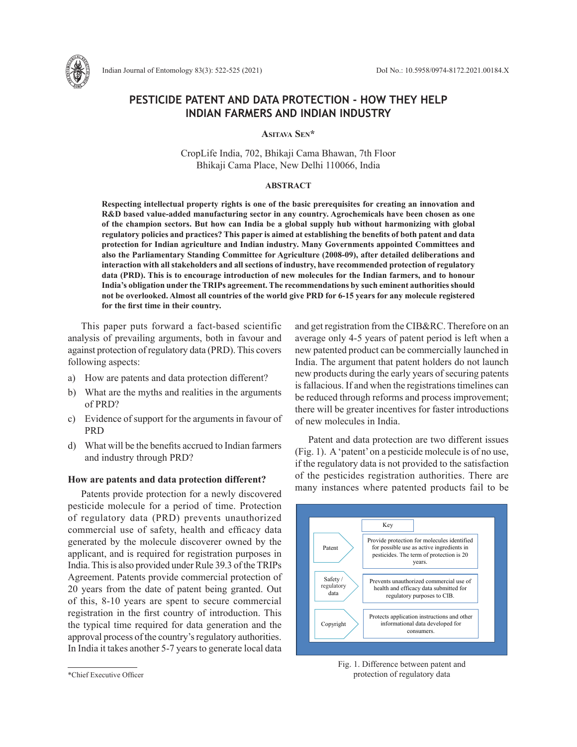

# **PESTICIDE PATENT AND DATA PROTECTION - HOW THEY HELP INDIAN FARMERS AND INDIAN INDUSTRY**

**Asitava Sen\***

CropLife India, 702, Bhikaji Cama Bhawan, 7th Floor Bhikaji Cama Place, New Delhi 110066, India

#### **ABSTRACT**

**Respecting intellectual property rights is one of the basic prerequisites for creating an innovation and R&D based value-added manufacturing sector in any country. Agrochemicals have been chosen as one of the champion sectors. But how can India be a global supply hub without harmonizing with global regulatory policies and practices? This paper is aimed at establishing the benefits of both patent and data protection for Indian agriculture and Indian industry. Many Governments appointed Committees and also the Parliamentary Standing Committee for Agriculture (2008-09), after detailed deliberations and interaction with all stakeholders and all sections of industry, have recommended protection of regulatory data (PRD). This is to encourage introduction of new molecules for the Indian farmers, and to honour India's obligation under the TRIPs agreement. The recommendations by such eminent authorities should not be overlooked. Almost all countries of the world give PRD for 6-15 years for any molecule registered for the first time in their country.**

This paper puts forward a fact-based scientific analysis of prevailing arguments, both in favour and against protection of regulatory data (PRD). This covers following aspects:

- a) How are patents and data protection different?
- b) What are the myths and realities in the arguments of PRD?
- c) Evidence of support for the arguments in favour of **PRD**
- d) What will be the benefits accrued to Indian farmers and industry through PRD?

#### **How are patents and data protection different?**

Patents provide protection for a newly discovered pesticide molecule for a period of time. Protection of regulatory data (PRD) prevents unauthorized commercial use of safety, health and efficacy data generated by the molecule discoverer owned by the applicant, and is required for registration purposes in India. This is also provided under Rule 39.3 of the TRIPs Agreement. Patents provide commercial protection of 20 years from the date of patent being granted. Out of this, 8-10 years are spent to secure commercial registration in the first country of introduction. This the typical time required for data generation and the approval process of the country's regulatory authorities. In India it takes another 5-7 years to generate local data and get registration from the CIB&RC. Therefore on an average only 4-5 years of patent period is left when a new patented product can be commercially launched in India. The argument that patent holders do not launch new products during the early years of securing patents is fallacious. If and when the registrations timelines can be reduced through reforms and process improvement; there will be greater incentives for faster introductions of new molecules in India.

Patent and data protection are two different issues (Fig. 1). A 'patent' on a pesticide molecule is of no use, if the regulatory data is not provided to the satisfaction of the pesticides registration authorities. There are many instances where patented products fail to be



Fig. 1. Difference between patent and protection of regulatory data

<sup>\*</sup>Chief Executive Officer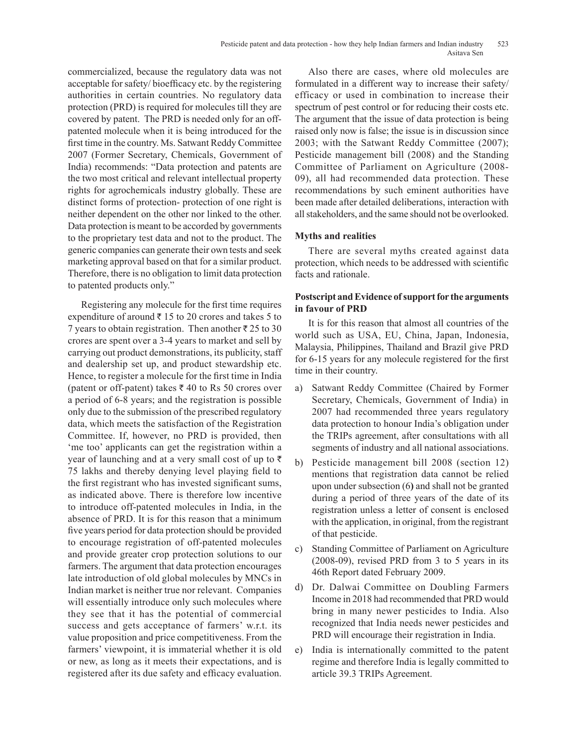commercialized, because the regulatory data was not acceptable for safety/ bioefficacy etc. by the registering authorities in certain countries. No regulatory data protection (PRD) is required for molecules till they are covered by patent. The PRD is needed only for an offpatented molecule when it is being introduced for the first time in the country. Ms. Satwant Reddy Committee 2007 (Former Secretary, Chemicals, Government of India) recommends: "Data protection and patents are the two most critical and relevant intellectual property rights for agrochemicals industry globally. These are distinct forms of protection- protection of one right is neither dependent on the other nor linked to the other. Data protection is meant to be accorded by governments to the proprietary test data and not to the product. The generic companies can generate their own tests and seek marketing approval based on that for a similar product. Therefore, there is no obligation to limit data protection to patented products only."

Registering any molecule for the first time requires expenditure of around  $\bar{\tau}$  15 to 20 crores and takes 5 to 7 years to obtain registration. Then another  $\bar{\tau}$  25 to 30 crores are spent over a 3-4 years to market and sell by carrying out product demonstrations, its publicity, staff and dealership set up, and product stewardship etc. Hence, to register a molecule for the first time in India (patent or off-patent) takes  $\bar{x}$  40 to Rs 50 crores over a period of 6-8 years; and the registration is possible only due to the submission of the prescribed regulatory data, which meets the satisfaction of the Registration Committee. If, however, no PRD is provided, then 'me too' applicants can get the registration within a year of launching and at a very small cost of up to  $\bar{\tau}$ 75 lakhs and thereby denying level playing field to the first registrant who has invested significant sums, as indicated above. There is therefore low incentive to introduce off-patented molecules in India, in the absence of PRD. It is for this reason that a minimum five years period for data protection should be provided to encourage registration of off-patented molecules and provide greater crop protection solutions to our farmers. The argument that data protection encourages late introduction of old global molecules by MNCs in Indian market is neither true nor relevant. Companies will essentially introduce only such molecules where they see that it has the potential of commercial success and gets acceptance of farmers' w.r.t. its value proposition and price competitiveness. From the farmers' viewpoint, it is immaterial whether it is old or new, as long as it meets their expectations, and is registered after its due safety and efficacy evaluation.

Also there are cases, where old molecules are formulated in a different way to increase their safety/ efficacy or used in combination to increase their spectrum of pest control or for reducing their costs etc. The argument that the issue of data protection is being raised only now is false; the issue is in discussion since 2003; with the Satwant Reddy Committee (2007); Pesticide management bill (2008) and the Standing Committee of Parliament on Agriculture (2008- 09), all had recommended data protection. These recommendations by such eminent authorities have been made after detailed deliberations, interaction with all stakeholders, and the same should not be overlooked.

## **Myths and realities**

There are several myths created against data protection, which needs to be addressed with scientific facts and rationale.

# **Postscript and Evidence of support for the arguments in favour of PRD**

It is for this reason that almost all countries of the world such as USA, EU, China, Japan, Indonesia, Malaysia, Philippines, Thailand and Brazil give PRD for 6-15 years for any molecule registered for the first time in their country.

- a) Satwant Reddy Committee (Chaired by Former Secretary, Chemicals, Government of India) in 2007 had recommended three years regulatory data protection to honour India's obligation under the TRIPs agreement, after consultations with all segments of industry and all national associations.
- b) Pesticide management bill 2008 (section 12) mentions that registration data cannot be relied upon under subsection (6**)** and shall not be granted during a period of three years of the date of its registration unless a letter of consent is enclosed with the application, in original, from the registrant of that pesticide.
- c) Standing Committee of Parliament on Agriculture (2008-09), revised PRD from 3 to 5 years in its 46th Report dated February 2009.
- d) Dr. Dalwai Committee on Doubling Farmers Income in 2018 had recommended that PRD would bring in many newer pesticides to India. Also recognized that India needs newer pesticides and PRD will encourage their registration in India.
- e) India is internationally committed to the patent regime and therefore India is legally committed to article 39.3 TRIPs Agreement.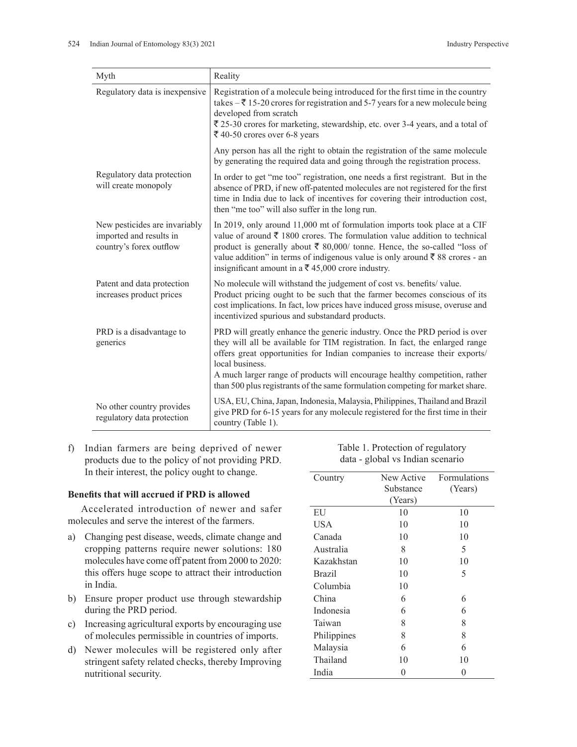| Myth                                                                                | Reality                                                                                                                                                                                                                                                                                                                                                                                                                    |  |
|-------------------------------------------------------------------------------------|----------------------------------------------------------------------------------------------------------------------------------------------------------------------------------------------------------------------------------------------------------------------------------------------------------------------------------------------------------------------------------------------------------------------------|--|
| Regulatory data is inexpensive                                                      | Registration of a molecule being introduced for the first time in the country<br>takes $-\bar{\tau}$ 15-20 crores for registration and 5-7 years for a new molecule being<br>developed from scratch<br>₹ 25-30 crores for marketing, stewardship, etc. over 3-4 years, and a total of<br>₹ 40-50 crores over 6-8 years                                                                                                     |  |
|                                                                                     | Any person has all the right to obtain the registration of the same molecule<br>by generating the required data and going through the registration process.                                                                                                                                                                                                                                                                |  |
| Regulatory data protection<br>will create monopoly                                  | In order to get "me too" registration, one needs a first registrant. But in the<br>absence of PRD, if new off-patented molecules are not registered for the first<br>time in India due to lack of incentives for covering their introduction cost,<br>then "me too" will also suffer in the long run.                                                                                                                      |  |
| New pesticides are invariably<br>imported and results in<br>country's forex outflow | In 2019, only around 11,000 mt of formulation imports took place at a CIF<br>value of around ₹ 1800 crores. The formulation value addition to technical<br>product is generally about $\bar{\xi}$ 80,000/ tonne. Hence, the so-called "loss of<br>value addition" in terms of indigenous value is only around ₹88 crores - an<br>insignificant amount in a $\bar{\mathfrak{g}}$ 45,000 crore industry.                     |  |
| Patent and data protection<br>increases product prices                              | No molecule will withstand the judgement of cost vs. benefits/value.<br>Product pricing ought to be such that the farmer becomes conscious of its<br>cost implications. In fact, low prices have induced gross misuse, overuse and<br>incentivized spurious and substandard products.                                                                                                                                      |  |
| PRD is a disadvantage to<br>generics                                                | PRD will greatly enhance the generic industry. Once the PRD period is over<br>they will all be available for TIM registration. In fact, the enlarged range<br>offers great opportunities for Indian companies to increase their exports/<br>local business.<br>A much larger range of products will encourage healthy competition, rather<br>than 500 plus registrants of the same formulation competing for market share. |  |
| No other country provides<br>regulatory data protection                             | USA, EU, China, Japan, Indonesia, Malaysia, Philippines, Thailand and Brazil<br>give PRD for 6-15 years for any molecule registered for the first time in their<br>country (Table 1).                                                                                                                                                                                                                                      |  |

f) Indian farmers are being deprived of newer products due to the policy of not providing PRD. In their interest, the policy ought to change.

### **Benefits that will accrued if PRD is allowed**

Accelerated introduction of newer and safer molecules and serve the interest of the farmers.

- a) Changing pest disease, weeds, climate change and cropping patterns require newer solutions: 180 molecules have come off patent from 2000 to 2020: this offers huge scope to attract their introduction in India.
- b) Ensure proper product use through stewardship during the PRD period.
- c) Increasing agricultural exports by encouraging use of molecules permissible in countries of imports.
- d) Newer molecules will be registered only after stringent safety related checks, thereby Improving nutritional security.

| Country       | New Active | <b>Formulations</b> |
|---------------|------------|---------------------|
|               | Substance  | (Years)             |
|               | (Years)    |                     |
| EU            | 10         | 10                  |
| USA           | 10         | 10                  |
| Canada        | 10         | 10                  |
| Australia     | 8          | 5                   |
| Kazakhstan    | 10         | 10                  |
| <b>Brazil</b> | 10         | 5                   |
| Columbia      | 10         |                     |
| China         | 6          | 6                   |
| Indonesia     | 6          | 6                   |
| Taiwan        | 8          | 8                   |
| Philippines   | 8          | 8                   |
| Malaysia      | 6          | 6                   |
| Thailand      | 10         | 10                  |
| India         | 0          | 0                   |

Table 1. Protection of regulatory data - global vs Indian scenario